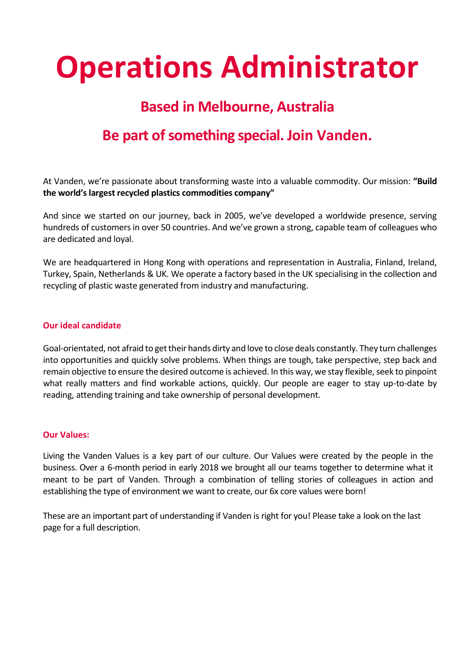# **Operations Administrator**

## **Based in Melbourne, Australia**

# **Be part of something special. Join Vanden.**

At Vanden, we're passionate about transforming waste into a valuable commodity. Our mission: **"Build the world's largest recycled plastics commodities company"**

And since we started on our journey, back in 2005, we've developed a worldwide presence, serving hundreds of customers in over 50 countries. And we've grown a strong, capable team of colleagues who are dedicated and loyal.

We are headquartered in Hong Kong with operations and representation in Australia, Finland, Ireland, Turkey, Spain, Netherlands & UK. We operate a factory based in the UK specialising in the collection and recycling of plastic waste generated from industry and manufacturing.

#### **Our ideal candidate**

Goal-orientated, not afraid to get their hands dirty and love to close deals constantly. They turn challenges into opportunities and quickly solve problems. When things are tough, take perspective, step back and remain objective to ensure the desired outcome is achieved. In this way, we stay flexible, seek to pinpoint what really matters and find workable actions, quickly. Our people are eager to stay up-to-date by reading, attending training and take ownership of personal development.

#### **Our Values:**

Living the Vanden Values is a key part of our culture. Our Values were created by the people in the business. Over a 6-month period in early 2018 we brought all our teams together to determine what it meant to be part of Vanden. Through a combination of telling stories of colleagues in action and establishing the type of environment we want to create, our 6x core values were born!

These are an important part of understanding if Vanden is right for you! Please take a look on the last page for a full description.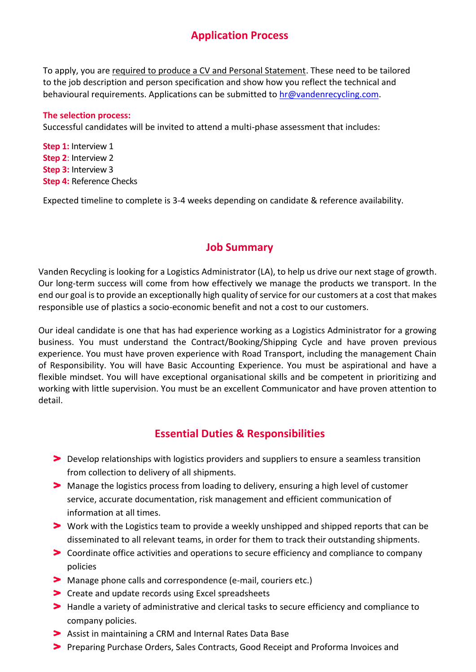## **Application Process**

To apply, you are required to produce a CV and Personal Statement. These need to be tailored to the job description and person specification and show how you reflect the technical and behavioural requirements. Applications can be submitted to [hr@vandenrecycling.com.](mailto:hr@vandenrecycling.com)

#### **The selection process:**

Successful candidates will be invited to attend a multi-phase assessment that includes:

**Step 1:** Interview 1 **Step 2**: Interview 2 **Step 3:** Interview 3 **Step 4:** Reference Checks

Expected timeline to complete is 3-4 weeks depending on candidate & reference availability.

#### **Job Summary**

Vanden Recycling is looking for a Logistics Administrator (LA), to help us drive our next stage of growth. Our long-term success will come from how effectively we manage the products we transport. In the end our goal is to provide an exceptionally high quality of service for our customers at a cost that makes responsible use of plastics a socio-economic benefit and not a cost to our customers.

Our ideal candidate is one that has had experience working as a Logistics Administrator for a growing business. You must understand the Contract/Booking/Shipping Cycle and have proven previous experience. You must have proven experience with Road Transport, including the management Chain of Responsibility. You will have Basic Accounting Experience. You must be aspirational and have a flexible mindset. You will have exceptional organisational skills and be competent in prioritizing and working with little supervision. You must be an excellent Communicator and have proven attention to detail.

#### **Essential Duties & Responsibilities**

- Develop relationships with logistics providers and suppliers to ensure a seamless transition from collection to delivery of all shipments.
- Manage the logistics process from loading to delivery, ensuring a high level of customer service, accurate documentation, risk management and efficient communication of information at all times.
- Work with the Logistics team to provide a weekly unshipped and shipped reports that can be disseminated to all relevant teams, in order for them to track their outstanding shipments.
- Coordinate office activities and operations to secure efficiency and compliance to company policies
- Manage phone calls and correspondence (e-mail, couriers etc.)
- **Dreate and update records using Excel spreadsheets**
- Handle a variety of administrative and clerical tasks to secure efficiency and compliance to company policies.
- Assist in maintaining a CRM and Internal Rates Data Base
- Preparing Purchase Orders, Sales Contracts, Good Receipt and Proforma Invoices and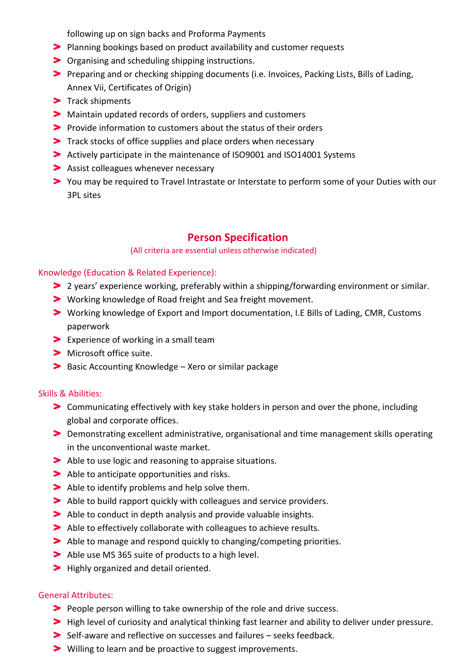following up on sign backs and Proforma Payments

- Planning bookings based on product availability and customer requests
- Organising and scheduling shipping instructions.
- Preparing and or checking shipping documents (i.e. Invoices, Packing Lists, Bills of Lading, Annex Vii, Certificates of Origin)
- $\blacktriangleright$  Track shipments
- Maintain updated records of orders, suppliers and customers
- Provide information to customers about the status of their orders
- Track stocks of office supplies and place orders when necessary
- Actively participate in the maintenance of ISO9001 and ISO14001 Systems
- **Assist colleagues whenever necessary**
- You may be required to Travel Intrastate or Interstate to perform some of your Duties with our 3PL sites

### **Person Specification**

#### (All criteria are essential unless otherwise indicated)

#### Knowledge (Education & Related Experience):

- 2 years' experience working, preferably within a shipping/forwarding environment or similar.
- Working knowledge of Road freight and Sea freight movement.
- Working knowledge of Export and Import documentation, I.E Bills of Lading, CMR, Customs paperwork
- **Experience of working in a small team**
- > Microsoft office suite.
- **Basic Accounting Knowledge Xero or similar package**

#### Skills & Abilities:

- Communicating effectively with key stake holders in person and over the phone, including global and corporate offices.
- Demonstrating excellent administrative, organisational and time management skills operating in the unconventional waste market.
- Able to use logic and reasoning to appraise situations.
- Able to anticipate opportunities and risks.
- Able to identify problems and help solve them.
- Able to build rapport quickly with colleagues and service providers.
- Able to conduct in depth analysis and provide valuable insights.
- Able to effectively collaborate with colleagues to achieve results.
- Able to manage and respond quickly to changing/competing priorities.
- Able use MS 365 suite of products to a high level.
- **>** Highly organized and detail oriented.

#### General Attributes:

- People person willing to take ownership of the role and drive success.
- High level of curiosity and analytical thinking fast learner and ability to deliver under pressure.
- Self-aware and reflective on successes and failures seeks feedback.
- **>** Willing to learn and be proactive to suggest improvements.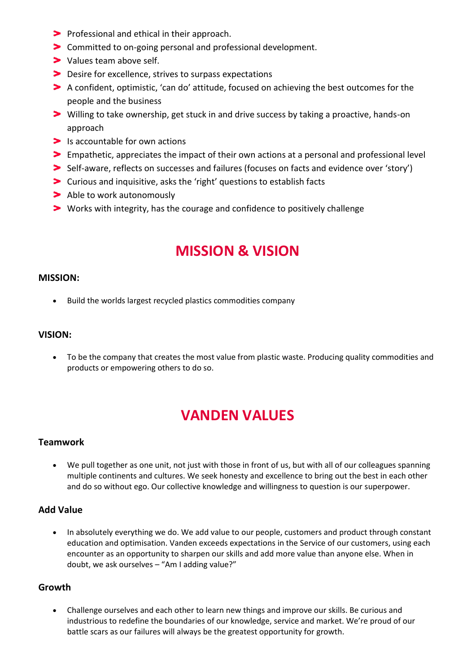- **Professional and ethical in their approach.**
- Committed to on-going personal and professional development.
- > Values team above self.
- **Desire for excellence, strives to surpass expectations**
- A confident, optimistic, 'can do' attitude, focused on achieving the best outcomes for the people and the business
- Willing to take ownership, get stuck in and drive success by taking a proactive, hands-on approach
- Is accountable for own actions
- Empathetic, appreciates the impact of their own actions at a personal and professional level
- Self-aware, reflects on successes and failures (focuses on facts and evidence over 'story')
- Curious and inquisitive, asks the 'right' questions to establish facts
- > Able to work autonomously
- Works with integrity, has the courage and confidence to positively challenge

## **MISSION & VISION**

#### **MISSION:**

• Build the worlds largest recycled plastics commodities company

#### **VISION:**

• To be the company that creates the most value from plastic waste. Producing quality commodities and products or empowering others to do so.

## **VANDEN VALUES**

#### **Teamwork**

• We pull together as one unit, not just with those in front of us, but with all of our colleagues spanning multiple continents and cultures. We seek honesty and excellence to bring out the best in each other and do so without ego. Our collective knowledge and willingness to question is our superpower.

#### **Add Value**

• In absolutely everything we do. We add value to our people, customers and product through constant education and optimisation. Vanden exceeds expectations in the Service of our customers, using each encounter as an opportunity to sharpen our skills and add more value than anyone else. When in doubt, we ask ourselves – "Am I adding value?"

#### **Growth**

• Challenge ourselves and each other to learn new things and improve our skills. Be curious and industrious to redefine the boundaries of our knowledge, service and market. We're proud of our battle scars as our failures will always be the greatest opportunity for growth.